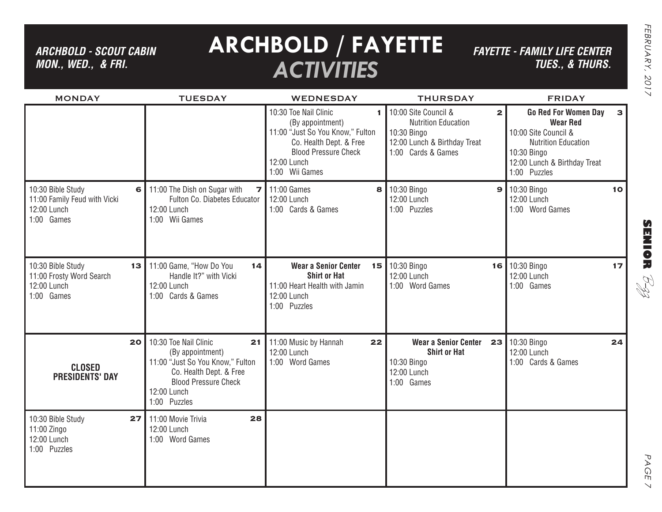*ARCHBOLD - SCOUT CABIN MON., WED., & FRI.*

# **ARCHBOLD / FAYETTE** *ACTIVITIES*

*FAYETTE - FAMILY LIFE CENTER TUES., & THURS.*

| <b>MONDAY</b>                                                                    | <b>TUESDAY</b>                                                                                                                                                               | <b>WEDNESDAY</b>                                                                                                                                                              | <b>THURSDAY</b>                                                                                                                         | <b>FRIDAY</b>                                                                                                                                                                       |
|----------------------------------------------------------------------------------|------------------------------------------------------------------------------------------------------------------------------------------------------------------------------|-------------------------------------------------------------------------------------------------------------------------------------------------------------------------------|-----------------------------------------------------------------------------------------------------------------------------------------|-------------------------------------------------------------------------------------------------------------------------------------------------------------------------------------|
|                                                                                  |                                                                                                                                                                              | 10:30 Toe Nail Clinic<br>1<br>(By appointment)<br>11:00 "Just So You Know," Fulton<br>Co. Health Dept. & Free<br><b>Blood Pressure Check</b><br>12:00 Lunch<br>1:00 Wii Games | 10:00 Site Council &<br>$\mathbf{2}$<br><b>Nutrition Education</b><br>10:30 Bingo<br>12:00 Lunch & Birthday Treat<br>1:00 Cards & Games | <b>Go Red For Women Day</b><br>$\mathbf{3}$<br><b>Wear Red</b><br>10:00 Site Council &<br><b>Nutrition Education</b><br>10:30 Bingo<br>12:00 Lunch & Birthday Treat<br>1:00 Puzzles |
| 10:30 Bible Study<br>11:00 Family Feud with Vicki<br>12:00 Lunch<br>1:00 Games   | 11:00 The Dish on Sugar with<br>7<br>6<br>Fulton Co. Diabetes Educator<br>12:00 Lunch<br>1:00 Wii Games                                                                      | 11:00 Games<br>8<br>12:00 Lunch<br>1:00 Cards & Games                                                                                                                         | 10:30 Bingo<br>12:00 Lunch<br>1:00 Puzzles                                                                                              | $9$ 10:30 Bingo<br>10 <sup>1</sup><br>12:00 Lunch<br>1:00 Word Games                                                                                                                |
| 10:30 Bible Study<br>13<br>11:00 Frosty Word Search<br>12:00 Lunch<br>1:00 Games | 11:00 Game, "How Do You<br>14<br>Handle It?" with Vicki<br>12:00 Lunch<br>1:00 Cards & Games                                                                                 | <b>Wear a Senior Center</b><br>15<br><b>Shirt or Hat</b><br>11:00 Heart Health with Jamin<br>12:00 Lunch<br>1:00 Puzzles                                                      | 10:30 Bingo<br>12:00 Lunch<br>1:00 Word Games                                                                                           | 16 10:30 Bingo<br>17<br>12:00 Lunch<br>1:00 Games                                                                                                                                   |
| 20<br><b>CLOSED</b><br><b>PRESIDENTS' DAY</b>                                    | 10:30 Toe Nail Clinic<br>21<br>(By appointment)<br>11:00 "Just So You Know," Fulton<br>Co. Health Dept. & Free<br><b>Blood Pressure Check</b><br>12:00 Lunch<br>1:00 Puzzles | 11:00 Music by Hannah<br>22<br>12:00 Lunch<br>1:00 Word Games                                                                                                                 | <b>Wear a Senior Center</b><br><b>Shirt or Hat</b><br>10:30 Bingo<br>12:00 Lunch<br>1:00 Games                                          | 23 10:30 Bingo<br>24<br>12:00 Lunch<br>1:00 Cards & Games                                                                                                                           |
| 10:30 Bible Study<br>27<br>11:00 Zingo<br>12:00 Lunch<br>1:00 Puzzles            | 28<br>11:00 Movie Trivia<br>12:00 Lunch<br>1:00 Word Games                                                                                                                   |                                                                                                                                                                               |                                                                                                                                         |                                                                                                                                                                                     |

**SENIOR** B-zz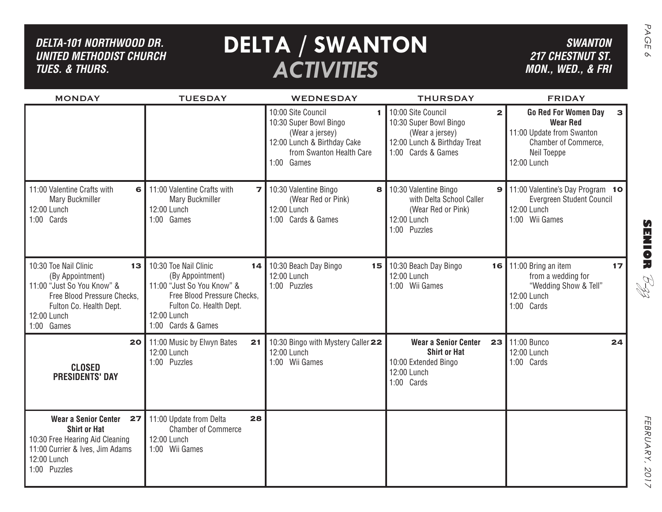| DELTA-101 NORTHWOOD DR.<br><b>UNITED METHODIST CHURCH</b><br><b>TUES. &amp; THURS.</b>                                                                                            |                                                                                                                                                                              | <b>DELTA / SWANTON</b><br><b>ACTIVITIES</b>                                                                                                    |                                                                                                                                       | <b>SWANTON</b><br><b>217 CHESTNUT ST.</b><br>MON., WED., & FRI                                                                    |
|-----------------------------------------------------------------------------------------------------------------------------------------------------------------------------------|------------------------------------------------------------------------------------------------------------------------------------------------------------------------------|------------------------------------------------------------------------------------------------------------------------------------------------|---------------------------------------------------------------------------------------------------------------------------------------|-----------------------------------------------------------------------------------------------------------------------------------|
| <b>MONDAY</b>                                                                                                                                                                     | <b>TUESDAY</b>                                                                                                                                                               | <b>WEDNESDAY</b>                                                                                                                               | <b>THURSDAY</b>                                                                                                                       | <b>FRIDAY</b>                                                                                                                     |
|                                                                                                                                                                                   |                                                                                                                                                                              | 10:00 Site Council<br>1.<br>10:30 Super Bowl Bingo<br>(Wear a jersey)<br>12:00 Lunch & Birthday Cake<br>from Swanton Health Care<br>1:00 Games | 10:00 Site Council<br>$\mathbf{2}$<br>10:30 Super Bowl Bingo<br>(Wear a jersey)<br>12:00 Lunch & Birthday Treat<br>1:00 Cards & Games | <b>Go Red For Women Day</b><br><b>Wear Red</b><br>11:00 Update from Swanton<br>Chamber of Commerce,<br>Neil Toeppe<br>12:00 Lunch |
| 11:00 Valentine Crafts with<br>6<br><b>Mary Buckmiller</b><br>12:00 Lunch<br>1:00 Cards                                                                                           | 11:00 Valentine Crafts with<br>$\overline{ }$<br><b>Mary Buckmiller</b><br>12:00 Lunch<br>1:00 Games                                                                         | 10:30 Valentine Bingo<br>8<br>(Wear Red or Pink)<br>12:00 Lunch<br>1:00 Cards & Games                                                          | 10:30 Valentine Bingo<br>with Delta School Caller<br>(Wear Red or Pink)<br>12:00 Lunch<br>1:00 Puzzles                                | <b>9</b> 11:00 Valentine's Day Program 10<br>Evergreen Student Council<br>12:00 Lunch<br>1:00 Wii Games                           |
| 10:30 Toe Nail Clinic<br>13 <sub>1</sub><br>(By Appointment)<br>11:00 "Just So You Know" &<br>Free Blood Pressure Checks,<br>Fulton Co. Health Dept.<br>12:00 Lunch<br>1:00 Games | 10:30 Toe Nail Clinic<br>14<br>(By Appointment)<br>11:00 "Just So You Know" &<br>Free Blood Pressure Checks,<br>Fulton Co. Health Dept.<br>12:00 Lunch<br>1:00 Cards & Games | 10:30 Beach Day Bingo<br>12:00 Lunch<br>1:00 Puzzles                                                                                           | <b>15</b>   10:30 Beach Day Bingo<br>12:00 Lunch<br>1:00 Wii Games                                                                    | <b>16</b>   11:00 Bring an item<br>17<br>from a wedding for<br>RI<br>R<br>"Wedding Show & Tell"<br>12:00 Lunch<br>1:00 Cards      |
| 20<br><b>CLOSED</b><br><b>PRESIDENTS' DAY</b>                                                                                                                                     | 11:00 Music by Elwyn Bates<br>21<br>12:00 Lunch<br>1:00 Puzzles                                                                                                              | 10:30 Bingo with Mystery Caller 22<br>12:00 Lunch<br>1:00 Wii Games                                                                            | <b>Wear a Senior Center</b><br>23<br><b>Shirt or Hat</b><br>10:00 Extended Bingo<br>12:00 Lunch<br>1:00 Cards                         | 11:00 Bunco<br>24<br>12:00 Lunch<br>1:00 Cards                                                                                    |
| <b>Wear a Senior Center</b><br>$27 \mid$<br><b>Shirt or Hat</b><br>10:30 Free Hearing Aid Cleaning<br>11:00 Currier & Ives, Jim Adams<br>12:00 Lunch<br>1:00 Puzzles              | 28<br>11:00 Update from Delta<br><b>Chamber of Commerce</b><br>12:00 Lunch<br>1:00 Wii Games                                                                                 |                                                                                                                                                |                                                                                                                                       |                                                                                                                                   |